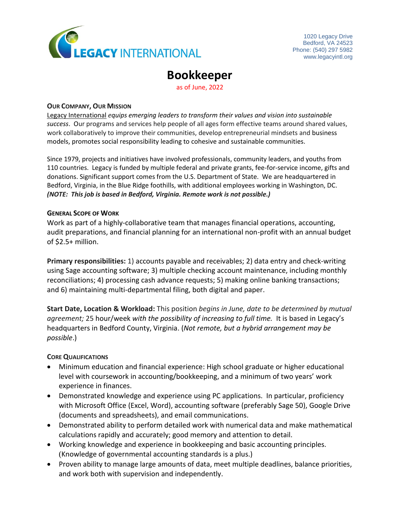

# **Bookkeeper**

as of June, 2022

#### **OUR COMPANY, OUR MISSION**

[Legacy International](http://www.legacyintl.org/) *equips emerging leaders to transform their values and vision into sustainable success*. Our programs and services help people of all ages form effective teams around shared values, work collaboratively to improve their communities, develop entrepreneurial mindsets and business models, promotes social responsibility leading to cohesive and sustainable communities.

Since 1979, projects and initiatives have involved professionals, community leaders, and youths from 110 countries. Legacy is funded by multiple federal and private grants, fee-for-service income, gifts and donations. Significant support comes from the U.S. Department of State. We are headquartered in Bedford, Virginia, in the Blue Ridge foothills, with additional employees working in Washington, DC. *(NOTE: This job is based in Bedford, Virginia. Remote work is not possible.)*

#### **GENERAL SCOPE OF WORK**

Work as part of a highly-collaborative team that manages financial operations, accounting, audit preparations, and financial planning for an international non-profit with an annual budget of \$2.5+ million.

**Primary responsibilities:** 1) accounts payable and receivables; 2) data entry and check-writing using Sage accounting software; 3) multiple checking account maintenance, including monthly reconciliations; 4) processing cash advance requests; 5) making online banking transactions; and 6) maintaining multi-departmental filing, both digital and paper.

**Start Date, Location & Workload:** This position *begins in June, date to be determined by mutual agreement;* 25 hour/week *with the possibility of increasing to full time.* It is based in Legacy's headquarters in Bedford County, Virginia. (*Not remote, but a hybrid arrangement may be possible*.)

## **CORE QUALIFICATIONS**

- Minimum education and financial experience: High school graduate or higher educational level with coursework in accounting/bookkeeping, and a minimum of two years' work experience in finances.
- Demonstrated knowledge and experience using PC applications. In particular, proficiency with Microsoft Office (Excel, Word), accounting software (preferably Sage 50), Google Drive (documents and spreadsheets), and email communications.
- Demonstrated ability to perform detailed work with numerical data and make mathematical calculations rapidly and accurately; good memory and attention to detail.
- Working knowledge and experience in bookkeeping and basic accounting principles. (Knowledge of governmental accounting standards is a plus.)
- Proven ability to manage large amounts of data, meet multiple deadlines, balance priorities, and work both with supervision and independently.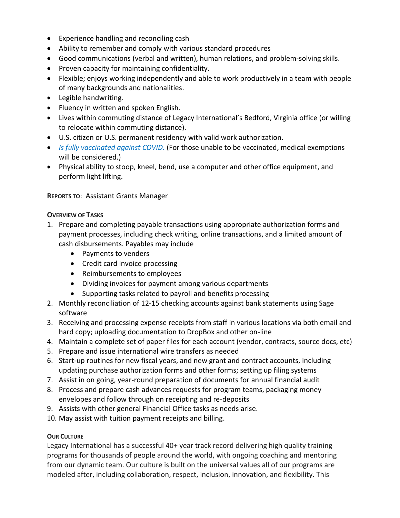- Experience handling and reconciling cash
- Ability to remember and comply with various standard procedures
- Good communications (verbal and written), human relations, and problem-solving skills.
- Proven capacity for maintaining confidentiality.
- Flexible; enjoys working independently and able to work productively in a team with people of many backgrounds and nationalities.
- Legible handwriting.
- Fluency in written and spoken English.
- Lives within commuting distance of Legacy International's Bedford, Virginia office (or willing to relocate within commuting distance).
- U.S. citizen or U.S. permanent residency with valid work authorization.
- *Is fully vaccinated against COVID.* (For those unable to be vaccinated, medical exemptions will be considered.)
- Physical ability to stoop, kneel, bend, use a computer and other office equipment, and perform light lifting.

**REPORTS TO**: Assistant Grants Manager

## **OVERVIEW OF TASKS**

- 1. Prepare and completing payable transactions using appropriate authorization forms and payment processes, including check writing, online transactions, and a limited amount of cash disbursements. Payables may include
	- Payments to venders
	- Credit card invoice processing
	- Reimbursements to employees
	- Dividing invoices for payment among various departments
	- Supporting tasks related to payroll and benefits processing
- 2. Monthly reconciliation of 12-15 checking accounts against bank statements using Sage software
- 3. Receiving and processing expense receipts from staff in various locations via both email and hard copy; uploading documentation to DropBox and other on-line
- 4. Maintain a complete set of paper files for each account (vendor, contracts, source docs, etc)
- 5. Prepare and issue international wire transfers as needed
- 6. Start-up routines for new fiscal years, and new grant and contract accounts, including updating purchase authorization forms and other forms; setting up filing systems
- 7. Assist in on going, year-round preparation of documents for annual financial audit
- 8. Process and prepare cash advances requests for program teams, packaging money envelopes and follow through on receipting and re-deposits
- 9. Assists with other general Financial Office tasks as needs arise.
- 10. May assist with tuition payment receipts and billing.

# **OUR CULTURE**

Legacy International has a successful 40+ year track record delivering high quality training programs for thousands of people around the world, with ongoing coaching and mentoring from our dynamic team. Our culture is built on the universal values all of our programs are modeled after, including collaboration, respect, inclusion, innovation, and flexibility. This